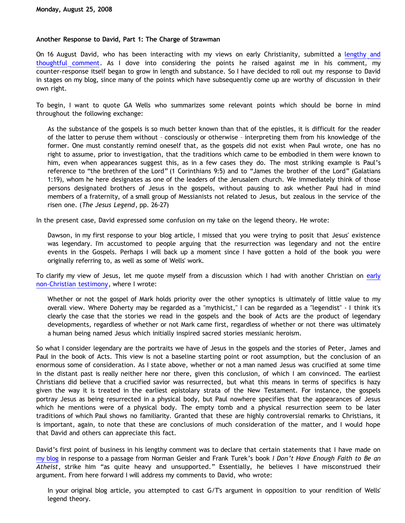# **Another Response to David, Part 1: The Charge of Strawman**

On 16 August David, who has been interacting with my views on early Christianity, submitted a [lengthy and](http://bahnsenburner.blogspot.com/2008/07/in-response-to-david-on-i-corinthians.html) [thoughtful comment](http://bahnsenburner.blogspot.com/2008/07/in-response-to-david-on-i-corinthians.html). As I dove into considering the points he raised against me in his comment, my counter-response itself began to grow in length and substance. So I have decided to roll out my response to David in stages on my blog, since many of the points which have subsequently come up are worthy of discussion in their own right.

To begin, I want to quote GA Wells who summarizes some relevant points which should be borne in mind throughout the following exchange:

As the substance of the gospels is so much better known than that of the epistles, it is difficult for the reader of the latter to peruse them without – consciously or otherwise – interpreting them from his knowledge of the former. One must constantly remind oneself that, as the gospels did not exist when Paul wrote, one has no right to assume, prior to investigation, that the traditions which came to be embodied in them were known to him, even when appearances suggest this, as in a few cases they do. The most striking example is Paul's reference to "the brethren of the Lord" (1 Corinthians 9:5) and to "James the brother of the Lord" (Galatians 1:19), whom he here designates as one of the leaders of the Jerusalem church. We immediately think of those persons designated brothers of Jesus in the gospels, without pausing to ask whether Paul had in mind members of a fraternity, of a small group of Messianists not related to Jesus, but zealous in the service of the risen one. (*The Jesus Legend*, pp. 26-27)

In the present case, David expressed some confusion on my take on the legend theory. He wrote:

Dawson, in my first response to your blog article, I missed that you were trying to posit that Jesus' existence was legendary. I'm accustomed to people arguing that the resurrection was legendary and not the entire events in the Gospels. Perhaps I will back up a moment since I have gotten a hold of the book you were originally referring to, as well as some of Wells' work.

To clarify my view of Jesus, let me quote myself from a discussion which I had with another Christian on [early](http://www.geocities.com/katholon/Early_Non-Christian_Testimony.htm) [non-Christian testimony,](http://www.geocities.com/katholon/Early_Non-Christian_Testimony.htm) where I wrote:

Whether or not the gospel of Mark holds priority over the other synoptics is ultimately of little value to my overall view. Where Doherty may be regarded as a "mythicist," I can be regarded as a "legendist" - I think it's clearly the case that the stories we read in the gospels and the book of Acts are the product of legendary developments, regardless of whether or not Mark came first, regardless of whether or not there was ultimately a human being named Jesus which initially inspired sacred stories messianic heroism.

So what I consider legendary are the portraits we have of Jesus in the gospels and the stories of Peter, James and Paul in the book of Acts. This view is not a baseline starting point or root assumption, but the conclusion of an enormous some of consideration. As I state above, whether or not a man named Jesus was crucified at some time in the distant past is really neither here nor there, given this conclusion, of which I am convinced. The earliest Christians did believe that a crucified savior was resurrected, but what this means in terms of specifics is hazy given the way it is treated in the earliest epistolary strata of the New Testament. For instance, the gospels portray Jesus as being resurrected in a physical body, but Paul nowhere specifies that the appearances of Jesus which he mentions were of a physical body. The empty tomb and a physical resurrection seem to be later traditions of which Paul shows no familiarity. Granted that these are highly controversial remarks to Christians, it is important, again, to note that these are conclusions of much consideration of the matter, and I would hope that David and others can appreciate this fact.

David's first point of business in his lengthy comment was to declare that certain statements that I have made on [my blog](http://bahnsenburner.blogspot.com/2008/07/is-i-corinthians-153-8-too-early-to-be.html) in response to a passage from Norman Geisler and Frank Turek's book *I Don't Have Enough Faith to Be an Atheist*, strike him "as quite heavy and unsupported." Essentially, he believes I have misconstrued their argument. From here forward I will address my comments to David, who wrote:

In your original blog article, you attempted to cast G/T's argument in opposition to your rendition of Wells' legend theory.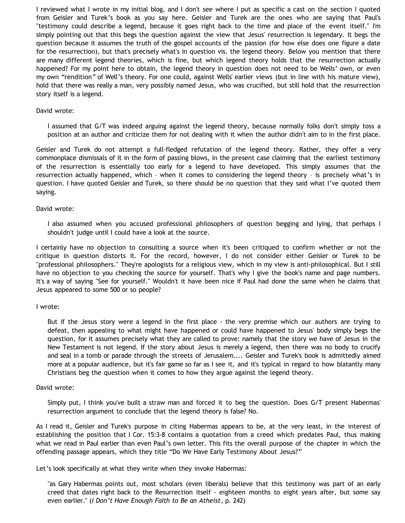I reviewed what I wrote in my initial blog, and I don't see where I put as specific a cast on the section I quoted from Geisler and Turek's book as you say here. Geisler and Turek are the ones who are saying that Paul's "testimony could describe a legend, because it goes right back to the time and place of the event itself." I'm simply pointing out that this begs the question against the view that Jesus' resurrection is legendary. It begs the question because it assumes the truth of the gospel accounts of the passion (for how else does one figure a date for the resurrection), but that's precisely what's in question vis. the legend theory. Below you mention that there are many different legend theories, which is fine, but which legend theory holds that the resurrection actually happened? For my point here to obtain, the legend theory in question does not need to be Wells' own, or even my own "rendition" of Well's theory. For one could, against Wells' earlier views (but in line with his mature view), hold that there was really a man, very possibly named Jesus, who was crucified, but still hold that the resurrection story itself is a legend.

# David wrote:

I assumed that G/T was indeed arguing against the legend theory, because normally folks don't simply toss a position at an author and criticize them for not dealing with it when the author didn't aim to in the first place.

Geisler and Turek do not attempt a full-fledged refutation of the legend theory. Rather, they offer a very commonplace dismissals of it in the form of passing blows, in the present case claiming that the earliest testimony of the resurrection is essentially too early for a legend to have developed. This simply assumes that the resurrection actually happened, which – when it comes to considering the legend theory – is precisely what's in question. I have quoted Geisler and Turek, so there should be no question that they said what I've quoted them saying.

#### David wrote:

I also assumed when you accused professional philosophers of question begging and lying, that perhaps I shouldn't judge until I could have a look at the source.

I certainly have no objection to consulting a source when it's been critiqued to confirm whether or not the critique in question distorts it. For the record, however, I do not consider either Geisler or Turek to be "professional philosophers." They're apologists for a religious view, which in my view is anti-philosophical. But I still have no objection to you checking the source for yourself. That's why I give the book's name and page numbers. It's a way of saying "See for yourself." Wouldn't it have been nice if Paul had done the same when he claims that Jesus appeared to some 500 or so people?

#### I wrote:

But if the Jesus story were a legend in the first place - the very premise which our authors are trying to defeat, then appealing to what might have happened or could have happened to Jesus' body simply begs the question, for it assumes precisely what they are called to prove: namely that the story we have of Jesus in the New Testament is not legend. If the story about Jesus is merely a legend, then there was no body to crucify and seal in a tomb or parade through the streets of Jerusalem.... Geisler and Turek's book is admittedly aimed more at a popular audience, but it's fair game so far as I see it, and it's typical in regard to how blatantly many Christians beg the question when it comes to how they argue against the legend theory.

### David wrote:

Simply put, I think you've built a straw man and forced it to beg the question. Does G/T present Habermas' resurrection argument to conclude that the legend theory is false? No.

As I read it, Geisler and Turek's purpose in citing Habermas appears to be, at the very least, in the interest of establishing the position that I Cor. 15:3-8 contains a quotation from a creed which predates Paul, thus making what we read in Paul earlier than even Paul's own letter. This fits the overall purpose of the chapter in which the offending passage appears, which they title "Do We Have Early Testimony About Jesus?"

Let's look specifically at what they write when they invoke Habermas:

"as Gary Habermas points out, most scholars (even liberals) believe that this testimony was part of an early creed that dates right back to the Resurrection itself - eighteen months to eight years after, but some say even earlier." (*I Don't Have Enough Faith to Be an Atheist*, p. 242)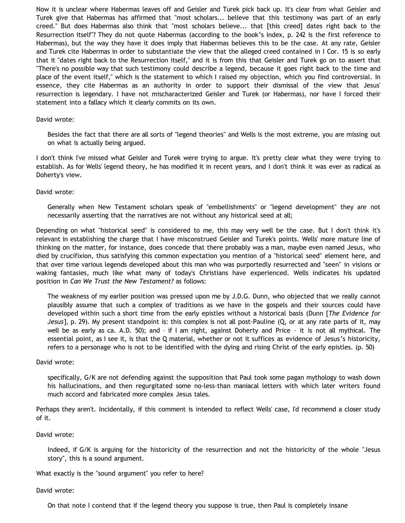Now it is unclear where Habermas leaves off and Geisler and Turek pick back up. It's clear from what Geisler and Turek give that Habermas has affirmed that "most scholars... believe that this testimony was part of an early creed." But does Habermas also think that "most scholars believe... that [this creed] dates right back to the Resurrection itself"? They do not quote Habermas (according to the book's index, p. 242 is the first reference to Habermas), but the way they have it does imply that Habermas believes this to be the case. At any rate, Geisler and Turek cite Habermas in order to substantiate the view that the alleged creed contained in I Cor. 15 is so early that it "dates right back to the Resurrection itself," and it is from this that Geisler and Turek go on to assert that "There's no possible way that such testimony could describe a legend, because it goes right back to the time and place of the event itself," which is the statement to which I raised my objection, which you find controversial. In essence, they cite Habermas as an authority in order to support their dismissal of the view that Jesus' resurrection is legendary. I have not mischaracterized Geisler and Turek (or Habermas), nor have I forced their statement into a fallacy which it clearly commits on its own.

## David wrote:

Besides the fact that there are all sorts of "legend theories" and Wells is the most extreme, you are missing out on what is actually being argued.

I don't think I've missed what Geisler and Turek were trying to argue. It's pretty clear what they were trying to establish. As for Wells' legend theory, he has modified it in recent years, and I don't think it was ever as radical as Doherty's view.

David wrote:

Generally when New Testament scholars speak of "embellishments" or "legend development" they are not necessarily asserting that the narratives are not without any historical seed at all;

Depending on what "historical seed" is considered to me, this may very well be the case. But I don't think it's relevant in establishing the charge that I have misconstrued Geisler and Turek's points. Wells' more mature line of thinking on the matter, for instance, does concede that there probably was a man, maybe even named Jesus, who died by crucifixion, thus satisfying this common expectation you mention of a "historical seed" element here, and that over time various legends developed about this man who was purportedly resurrected and "seen" in visions or waking fantasies, much like what many of today's Christians have experienced. Wells indicates his updated position in *Can We Trust the New Testament?* as follows:

The weakness of my earlier position was pressed upon me by J.D.G. Dunn, who objected that we really cannot plausibly assume that such a complex of traditions as we have in the gospels and their sources could have developed within such a short time from the early epistles without a historical basis (Dunn [*The Evidence for Jesus*], p. 29). My present standpoint is: this complex is not all post-Pauline (Q, or at any rate parts of it, may well be as early as ca. A.D. 50); and – if I am right, against Doherty and Price – it is not all mythical. The essential point, as I see it, is that the Q material, whether or not it suffices as evidence of Jesus's historicity, refers to a personage who is not to be identified with the dying and rising Christ of the early epistles. (p. 50)

#### David wrote:

specifically, G/K are not defending against the supposition that Paul took some pagan mythology to wash down his hallucinations, and then regurgitated some no-less-than maniacal letters with which later writers found much accord and fabricated more complex Jesus tales.

Perhaps they aren't. Incidentally, if this comment is intended to reflect Wells' case, I'd recommend a closer study of it.

David wrote:

Indeed, if G/K is arguing for the historicity of the resurrection and not the historicity of the whole "Jesus story", this is a sound argument.

What exactly is the "sound argument" you refer to here?

## David wrote:

On that note I contend that if the legend theory you suppose is true, then Paul is completely insane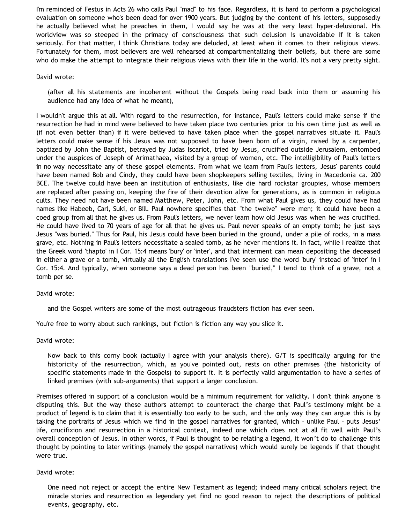I'm reminded of Festus in Acts 26 who calls Paul "mad" to his face. Regardless, it is hard to perform a psychological evaluation on someone who's been dead for over 1900 years. But judging by the content of his letters, supposedly he actually believed what he preaches in them, I would say he was at the very least hyper-delusional. His worldview was so steeped in the primacy of consciousness that such delusion is unavoidable if it is taken seriously. For that matter, I think Christians today are deluded, at least when it comes to their religious views. Fortunately for them, most believers are well rehearsed at compartmentalizing their beliefs, but there are some who do make the attempt to integrate their religious views with their life in the world. It's not a very pretty sight.

## David wrote:

(after all his statements are incoherent without the Gospels being read back into them or assuming his audience had any idea of what he meant),

I wouldn't argue this at all. With regard to the resurrection, for instance, Paul's letters could make sense if the resurrection he had in mind were believed to have taken place two centuries prior to his own time just as well as (if not even better than) if it were believed to have taken place when the gospel narratives situate it. Paul's letters could make sense if his Jesus was not supposed to have been born of a virgin, raised by a carpenter, baptized by John the Baptist, betrayed by Judas Iscariot, tried by Jesus, crucified outside Jerusalem, entombed under the auspices of Joseph of Arimathaea, visited by a group of women, etc. The intelligibility of Paul's letters in no way necessitate any of these gospel elements. From what we learn from Paul's letters, Jesus' parents could have been named Bob and Cindy, they could have been shopkeepers selling textiles, living in Macedonia ca. 200 BCE. The twelve could have been an institution of enthusiasts, like die hard rockstar groupies, whose members are replaced after passing on, keeping the fire of their devotion alive for generations, as is common in religious cults. They need not have been named Matthew, Peter, John, etc. From what Paul gives us, they could have had names like Habeeb, Carl, Suki, or Bill. Paul nowhere specifies that "the twelve" were men; it could have been a coed group from all that he gives us. From Paul's letters, we never learn how old Jesus was when he was crucified. He could have lived to 70 years of age for all that he gives us. Paul never speaks of an empty tomb; he just says Jesus "was buried." Thus for Paul, his Jesus could have been buried in the ground, under a pile of rocks, in a mass grave, etc. Nothing in Paul's letters necessitate a sealed tomb, as he never mentions it. In fact, while I realize that the Greek word 'thapto' in I Cor. 15:4 means 'bury' or 'inter', and that interment can mean depositing the deceased in either a grave or a tomb, virtually all the English translations I've seen use the word 'bury' instead of 'inter' in I Cor. 15:4. And typically, when someone says a dead person has been "buried," I tend to think of a grave, not a tomb per se.

# David wrote:

and the Gospel writers are some of the most outrageous fraudsters fiction has ever seen.

You're free to worry about such rankings, but fiction is fiction any way you slice it.

### David wrote:

Now back to this corny book (actually I agree with your analysis there). G/T is specifically arguing for the historicity of the resurrection, which, as you've pointed out, rests on other premises (the historicity of specific statements made in the Gospels) to support it. It is perfectly valid argumentation to have a series of linked premises (with sub-arguments) that support a larger conclusion.

Premises offered in support of a conclusion would be a minimum requirement for validity. I don't think anyone is disputing this. But the way these authors attempt to counteract the charge that Paul's testimony might be a product of legend is to claim that it is essentially too early to be such, and the only way they can argue this is by taking the portraits of Jesus which we find in the gospel narratives for granted, which – unlike Paul – puts Jesus' life, crucifixion and resurrection in a historical context, indeed one which does not at all fit well with Paul's overall conception of Jesus. In other words, if Paul is thought to be relating a legend, it won't do to challenge this thought by pointing to later writings (namely the gospel narratives) which would surely be legends if that thought were true.

### David wrote:

One need not reject or accept the entire New Testament as legend; indeed many critical scholars reject the miracle stories and resurrection as legendary yet find no good reason to reject the descriptions of political events, geography, etc.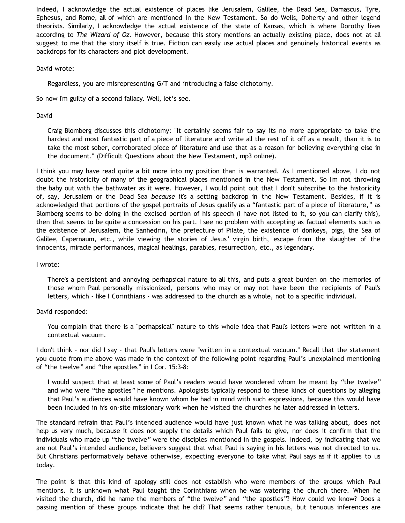Indeed, I acknowledge the actual existence of places like Jerusalem, Galilee, the Dead Sea, Damascus, Tyre, Ephesus, and Rome, all of which are mentioned in the New Testament. So do Wells, Doherty and other legend theorists. Similarly, I acknowledge the actual existence of the state of Kansas, which is where Dorothy lives according to *The Wizard of Oz*. However, because this story mentions an actually existing place, does not at all suggest to me that the story itself is true. Fiction can easily use actual places and genuinely historical events as backdrops for its characters and plot development.

# David wrote:

Regardless, you are misrepresenting G/T and introducing a false dichotomy.

So now I'm guilty of a second fallacy. Well, let's see.

# David

Craig Blomberg discusses this dichotomy: "It certainly seems fair to say its no more appropriate to take the hardest and most fantastic part of a piece of literature and write all the rest of it off as a result, than it is to take the most sober, corroborated piece of literature and use that as a reason for believing everything else in the document." (Difficult Questions about the New Testament, mp3 online).

I think you may have read quite a bit more into my position than is warranted. As I mentioned above, I do not doubt the historicity of many of the geographical places mentioned in the New Testament. So I'm not throwing the baby out with the bathwater as it were. However, I would point out that I don't subscribe to the historicity of, say, Jerusalem or the Dead Sea *because* it's a setting backdrop in the New Testament. Besides, if it is acknowledged that portions of the gospel portraits of Jesus qualify as a "fantastic part of a piece of literature," as Blomberg seems to be doing in the excised portion of his speech (I have not listed to it, so you can clarify this), then that seems to be quite a concession on his part. I see no problem with accepting as factual elements such as the existence of Jerusalem, the Sanhedrin, the prefecture of Pilate, the existence of donkeys, pigs, the Sea of Galilee, Capernaum, etc., while viewing the stories of Jesus' virgin birth, escape from the slaughter of the innocents, miracle performances, magical healings, parables, resurrection, etc., as legendary.

# I wrote:

There's a persistent and annoying perhapsical nature to all this, and puts a great burden on the memories of those whom Paul personally missionized, persons who may or may not have been the recipients of Paul's letters, which - like I Corinthians - was addressed to the church as a whole, not to a specific individual.

# David responded:

You complain that there is a "perhapsical" nature to this whole idea that Paul's letters were not written in a contextual vacuum.

I don't think - nor did I say - that Paul's letters were "written in a contextual vacuum." Recall that the statement you quote from me above was made in the context of the following point regarding Paul's unexplained mentioning of "the twelve" and "the apostles" in I Cor. 15:3-8:

I would suspect that at least some of Paul's readers would have wondered whom he meant by "the twelve" and who were "the apostles" he mentions. Apologists typically respond to these kinds of questions by alleging that Paul's audiences would have known whom he had in mind with such expressions, because this would have been included in his on-site missionary work when he visited the churches he later addressed in letters.

The standard refrain that Paul's intended audience would have just known what he was talking about, does not help us very much, because it does not supply the details which Paul fails to give, nor does it confirm that the individuals who made up "the twelve" were the disciples mentioned in the gospels. Indeed, by indicating that we are not Paul's intended audience, believers suggest that what Paul is saying in his letters was not directed to us. But Christians performatively behave otherwise, expecting everyone to take what Paul says as if it applies to us today.

The point is that this kind of apology still does not establish who were members of the groups which Paul mentions. It is unknown what Paul taught the Corinthians when he was watering the church there. When he visited the church, did he name the members of "the twelve" and "the apostles"? How could we know? Does a passing mention of these groups indicate that he did? That seems rather tenuous, but tenuous inferences are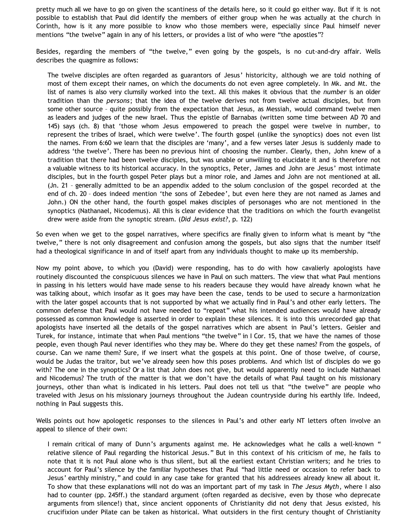pretty much all we have to go on given the scantiness of the details here, so it could go either way. But if it is not possible to establish that Paul did identify the members of either group when he was actually at the church in Corinth, how is it any more possible to know who those members were, especially since Paul himself never mentions "the twelve" again in any of his letters, or provides a list of who were "the apostles"?

Besides, regarding the members of "the twelve," even going by the gospels, is no cut-and-dry affair. Wells describes the quagmire as follows:

The twelve disciples are often regarded as guarantors of Jesus' historicity, although we are told nothing of most of them except their names, on which the documents do not even agree completely. In Mk. and Mt. the list of names is also very clumsily worked into the text. All this makes it obvious that the *number* is an older tradition than the *persons*; that the idea of the twelve derives not from twelve actual disciples, but from some other source – quite possibly from the expectation that Jesus, as Messiah, would command twelve men as leaders and judges of the new Israel. Thus the epistle of Barnabas (written some time between AD 70 and 145) says (ch. 8) that 'those whom Jesus empowered to preach the gospel were twelve in number, to represent the tribes of Israel, which were twelve'. The fourth gospel (unlike the synoptics) does not even list the names. From 6:60 we learn that the disciples are 'many', and a few verses later Jesus is suddenly made to address 'the twelve'. There has been no previous hint of choosing the number. Clearly, then, John knew of a tradition that there had been twelve disciples, but was unable or unwilling to elucidate it and is therefore not a valuable witness to its historical accuracy. In the synoptics, Peter, James and John are Jesus' most intimate disciples, but in the fourth gospel Peter plays but a minor role, and James and John are not mentioned at all. (Jn. 21 – generally admitted to be an appendix added to the solum conclusion of the gospel recorded at the end of ch. 20 – does indeed mention 'the sons of Zebedee', but even here they are not named as James and John.) ON the other hand, the fourth gospel makes disciples of personages who are not mentioned in the synoptics (Nathanael, Nicodemus). All this is clear evidence that the traditions on which the fourth evangelist drew were aside from the synoptic stream. (*Did Jesus exist?*, p. 122)

So even when we get to the gospel narratives, where specifics are finally given to inform what is meant by "the twelve," there is not only disagreement and confusion among the gospels, but also signs that the number itself had a theological significance in and of itself apart from any individuals thought to make up its membership.

Now my point above, to which you (David) were responding, has to do with how cavalierly apologists have routinely discounted the conspicuous silences we have in Paul on such matters. The view that what Paul mentions in passing in his letters would have made sense to his readers because they would have already known what he was talking about, which insofar as it goes may have been the case, tends to be used to secure a harmonization with the later gospel accounts that is not supported by what we actually find in Paul's and other early letters. The common defense that Paul would not have needed to "repeat" what his intended audiences would have already possessed as common knowledge is asserted in order to explain these silences. It is into this unrecorded gap that apologists have inserted all the details of the gospel narratives which are absent in Paul's letters. Geisler and Turek, for instance, intimate that when Paul mentions "the twelve" in I Cor. 15, that we have the names of those people, even though Paul never identifies who they may be. Where do they get these names? From the gospels, of course. Can we name them? Sure, if we insert what the gospels at this point. One of those twelve, of course, would be Judas the traitor, but we've already seen how this poses problems. And which list of disciples do we go with? The one in the synoptics? Or a list that John does not give, but would apparently need to include Nathanael and Nicodemus? The truth of the matter is that we don't have the details of what Paul taught on his missionary journeys, other than what is indicated in his letters. Paul does not tell us that "the twelve" are people who traveled with Jesus on his missionary journeys throughout the Judean countryside during his earthly life. Indeed, nothing in Paul suggests this.

Wells points out how apologetic responses to the silences in Paul's and other early NT letters often involve an appeal to silence of their own:

I remain critical of many of Dunn's arguments against me. He acknowledges what he calls a well-known " relative silence of Paul regarding the historical Jesus." But in this context of his criticism of me, he fails to note that it is not Paul alone who is thus silent, but all the earliest extant Christian writers; and he tries to account for Paul's silence by the familiar hypotheses that Paul "had little need or occasion to refer back to Jesus' earthly ministry," and could in any case take for granted that his addressees already knew all about it. To show that these explanations will not do was an important part of my task in *The Jesus Myth*, where I also had to counter (pp. 245ff.) the standard argument (often regarded as decisive, even by those who deprecate arguments from silence!) that, since ancient opponents of Christianity did not deny that Jesus existed, his crucifixion under Pilate can be taken as historical. What outsiders in the first century thought of Christianity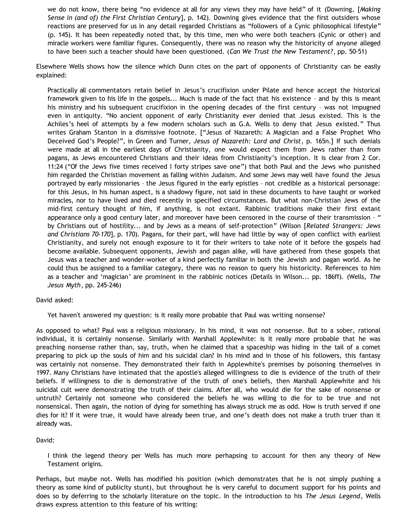we do not know, there being "no evidence at all for any views they may have held" of it (Downing, [*Making Sense in (and of) the First Christian Century*], p. 142). Downing gives evidence that the first outsiders whose reactions are preserved for us in any detail regarded Christians as "followers of a Cynic philosophical lifestyle" (p. 145). It has been repeatedly noted that, by this time, men who were both teachers (Cynic or other) and miracle workers were familiar figures. Consequently, there was no reason why the historicity of anyone alleged to have been such a teacher should have been questioned. (*Can We Trust the New Testament?*, pp. 50-51)

Elsewhere Wells shows how the silence which Dunn cites on the part of opponents of Christianity can be easily explained:

Practically all commentators retain belief in Jesus's crucifixion under Pilate and hence accept the historical framework given to his life in the gospels... Much is made of the fact that his existence – and by this is meant his ministry and his subsequent crucifixion in the opening decades of the first century – was not impugned even in antiquity. "No ancient opponent of early Christianity ever denied that Jesus existed. This is the Achiles's heel of attempts by a few modern scholars such as G.A. Wells to deny that Jesus existed." Thus writes Graham Stanton in a dismissive footnote. ["Jesus of Nazareth: A Magician and a False Prophet Who Deceived God's People?", in Green and Turner, *Jesus of Nazareth: Lord and Christ*, p. 165n.] If such denials were made at all in the earliest days of Christianity, one would expect them from Jews rather than from pagans, as Jews encountered Christians and their ideas from Christianity's inception. It is clear from 2 Cor. 11:24 ("Of the Jews five times received I forty stripes save one") that both Paul and the Jews who punished him regarded the Christian movement as falling within Judaism. And some Jews may well have found the Jesus portrayed by early missionaries – the Jesus figured in the early epistles – not credible as a historical personage: for this Jesus, in his human aspect, is a shadowy figure, not said in these documents to have taught or worked miracles, nor to have lived and died recently in specified circumstances. But what non-Christian Jews of the mid-first century thought of him, if anything, is not extant. Rabbinic traditions make their first extant appearance only a good century later, and moreover have been censored in the course of their transmission – " by Christians out of hostility... and by Jews as a means of self-protection" (Wilson [*Related Strangers: Jews and Christians 70-170*], p. 170). Pagans, for their part, will have had little by way of open conflict with earliest Christianity, and surely not enough exposure to it for their writers to take note of it before the gospels had become available. Subsequent opponents, Jewish and pagan alike, will have gathered from these gospels that Jesus was a teacher and wonder-worker of a kind perfectly familiar in both the Jewish and pagan world. As he could thus be assigned to a familiar category, there was no reason to query his historicity. References to him as a teacher and 'magician' are prominent in the rabbinic notices (Details in Wilson... pp. 186ff). (Wells, *The Jesus Myth*, pp. 245-246)

# David asked:

Yet haven't answered my question: is it really more probable that Paul was writing nonsense?

As opposed to what? Paul was a religious missionary. In his mind, it was not nonsense. But to a sober, rational individual, it is certainly nonsense. Similarly with Marshall Applewhite: is it really more probable that he was preaching nonsense rather than, say, truth, when he claimed that a spaceship was hiding in the tail of a comet preparing to pick up the souls of him and his suicidal clan? In his mind and in those of his followers, this fantasy was certainly not nonsense. They demonstrated their faith in Applewhite's premises by poisoning themselves in 1997. Many Christians have intimated that the apostle's alleged willingness to die is evidence of the truth of their beliefs. If willingness to die is demonstrative of the truth of one's beliefs, then Marshall Applewhite and his suicidal cult were demonstrating the truth of their claims. After all, who would die for the sake of nonsense or untruth? Certainly not someone who considered the beliefs he was willing to die for to be true and not nonsensical. Then again, the notion of dying for something has always struck me as odd. How is truth served if one dies for it? If it were true, it would have already been true, and one's death does not make a truth truer than it already was.

# David:

I think the legend theory per Wells has much more perhapsing to account for then any theory of New Testament origins.

Perhaps, but maybe not. Wells has modified his position (which demonstrates that he is not simply pushing a theory as some kind of publicity stunt), but throughout he is very careful to document support for his points and does so by deferring to the scholarly literature on the topic. In the introduction to his *The Jesus Legend*, Wells draws express attention to this feature of his writing: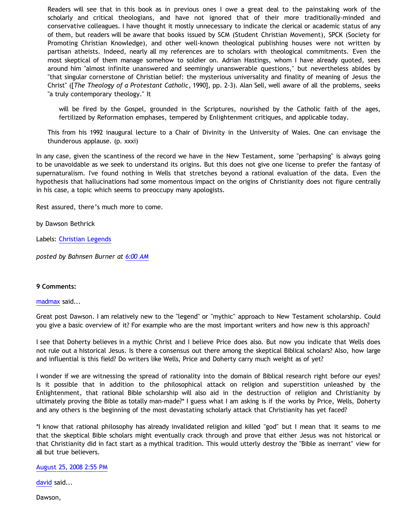Readers will see that in this book as in previous ones I owe a great deal to the painstaking work of the scholarly and critical theologians, and have not ignored that of their more traditionally-minded and conservative colleagues. I have thought it mostly unnecessary to indicate the clerical or academic status of any of them, but readers will be aware that books issued by SCM (Student Christian Movement), SPCK (Society for Promoting Christian Knowledge), and other well-known theological publishing houses were not written by partisan atheists. Indeed, nearly all my references are to scholars with theological commitments. Even the most skeptical of them manage somehow to soldier on. Adrian Hastings, whom I have already quoted, sees around him "almost infinite unanswered and seemingly unanswerable questions," but nevertheless abides by "that singular cornerstone of Christian belief: the mysterious universality and finality of meaning of Jesus the Christ" ([*The Theology of a Protestant Catholic*, 1990], pp. 2-3). Alan Sell, well aware of all the problems, seeks "a truly contemporary theology." It

will be fired by the Gospel, grounded in the Scriptures, nourished by the Catholic faith of the ages, fertilized by Reformation emphases, tempered by Enlightenment critiques, and applicable today.

This from his 1992 inaugural lecture to a Chair of Divinity in the University of Wales. One can envisage the thunderous applause. (p. xxxi)

In any case, given the scantiness of the record we have in the New Testament, some "perhapsing" is always going to be unavoidable as we seek to understand its origins. But this does not give one license to prefer the fantasy of supernaturalism. I've found nothing in Wells that stretches beyond a rational evaluation of the data. Even the hypothesis that hallucinations had some momentous impact on the origins of Christianity does not figure centrally in his case, a topic which seems to preoccupy many apologists.

Rest assured, there's much more to come.

by Dawson Bethrick

Labels: [Christian Legends](http://bahnsenburner.blogspot.com/search/label/Christian%20Legends)

*posted by Bahnsen Burner at [6:00 AM](http://bahnsenburner.blogspot.com/2008/08/another-response-to-david-part-1-charge.html)*

### **9 Comments:**

## [madmax](http://www.blogger.com/profile/14375140131881725965) said...

Great post Dawson. I am relatively new to the "legend" or "mythic" approach to New Testament scholarship. Could you give a basic overview of it? For example who are the most important writers and how new is this approach?

I see that Doherty believes in a mythic Christ and I believe Price does also. But now you indicate that Wells does not rule out a historical Jesus. Is there a consensus out there among the skeptical Biblical scholars? Also, how large and influential is this field? Do writers like Wells, Price and Doherty carry much weight as of yet?

I wonder if we are witnessing the spread of rationality into the domain of Biblical research right before our eyes? Is it possible that in addition to the philosophical attack on religion and superstition unleashed by the Enlightenment, that rational Bible scholarship will also aid in the destruction of religion and Christianity by ultimately proving the Bible as totally man-made?\* I guess what I am asking is if the works by Price, Wells, Doherty and any others is the beginning of the most devastating scholarly attack that Christianity has yet faced?

\*I know that rational philosophy has already invalidated religion and killed "god" but I mean that it seams to me that the skeptical Bible scholars might eventually crack through and prove that either Jesus was not historical or that Christianity did in fact start as a mythical tradition. This would utterly destroy the "Bible as inerrant" view for all but true believers.

# [August 25, 2008 2:55 PM](http://bahnsenburner.blogspot.com/2008/08/7137335699391079742)

[david](http://www.blogger.com/profile/08071763988772047093) said...

Dawson,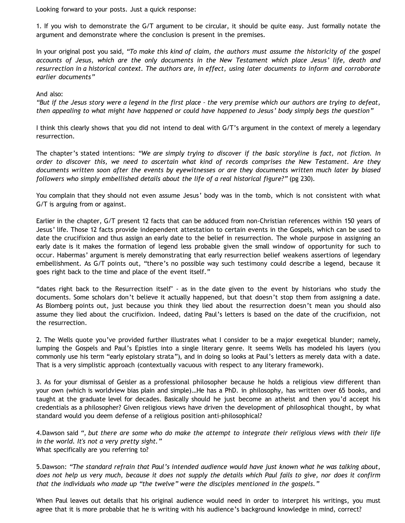Looking forward to your posts. Just a quick response:

1. If you wish to demonstrate the G/T argument to be circular, it should be quite easy. Just formally notate the argument and demonstrate where the conclusion is present in the premises.

In your original post you said, *"To make this kind of claim, the authors must assume the historicity of the gospel accounts of Jesus, which are the only documents in the New Testament which place Jesus' life, death and resurrection in a historical context. The authors are, in effect, using later documents to inform and corroborate earlier documents"*

# And also:

*"But if the Jesus story were a legend in the first place – the very premise which our authors are trying to defeat, then appealing to what might have happened or could have happened to Jesus' body simply begs the question"*

I think this clearly shows that you did not intend to deal with G/T's argument in the context of merely a legendary resurrection.

The chapter's stated intentions: *"We are simply trying to discover if the basic storyline is fact, not fiction. In order to discover this, we need to ascertain what kind of records comprises the New Testament. Are they documents written soon after the events by eyewitnesses or are they documents written much later by biased followers who simply embellished details about the life of a real historical figure?"* (pg 230).

You complain that they should not even assume Jesus' body was in the tomb, which is not consistent with what G/T is arguing from or against.

Earlier in the chapter, G/T present 12 facts that can be adduced from non-Christian references within 150 years of Jesus' life. Those 12 facts provide independent attestation to certain events in the Gospels, which can be used to date the crucifixion and thus assign an early date to the belief in resurrection. The whole purpose in assigning an early date is it makes the formation of legend less probable given the small window of opportunity for such to occur. Habermas' argument is merely demonstrating that early resurrection belief weakens assertions of legendary embellishment. As G/T points out, "there's no possible way such testimony could describe a legend, because it goes right back to the time and place of the event itself."

"dates right back to the Resurrection itself" - as in the date given to the event by historians who study the documents. Some scholars don't believe it actually happened, but that doesn't stop them from assigning a date. As Blomberg points out, just because you think they lied about the resurrection doesn't mean you should also assume they lied about the crucifixion. Indeed, dating Paul's letters is based on the date of the crucifixion, not the resurrection.

2. The Wells quote you've provided further illustrates what I consider to be a major exegetical blunder; namely, lumping the Gospels and Paul's Epistles into a single literary genre. It seems Wells has modeled his layers (you commonly use his term "early epistolary strata"), and in doing so looks at Paul's letters as merely data with a date. That is a very simplistic approach (contextually vacuous with respect to any literary framework).

3. As for your dismissal of Geisler as a professional philosopher because he holds a religious view different than your own (which is worldview bias plain and simple)…He has a PhD. in philosophy, has written over 65 books, and taught at the graduate level for decades. Basically should he just become an atheist and then you'd accept his credentials as a philosopher? Given religious views have driven the development of philosophical thought, by what standard would you deem defense of a religious position anti-philosophical?

4.Dawson said *", but there are some who do make the attempt to integrate their religious views with their life in the world. It's not a very pretty sight."* What specifically are you referring to?

5.Dawson: *"The standard refrain that Paul's intended audience would have just known what he was talking about, does not help us very much, because it does not supply the details which Paul fails to give, nor does it confirm that the individuals who made up "the twelve" were the disciples mentioned in the gospels."*

When Paul leaves out details that his original audience would need in order to interpret his writings, you must agree that it is more probable that he is writing with his audience's background knowledge in mind, correct?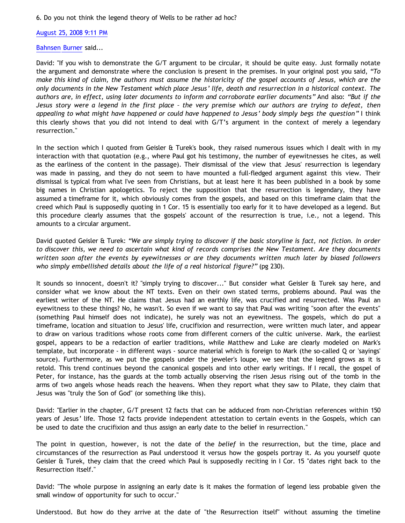# 6. Do you not think the legend theory of Wells to be rather ad hoc?

[August 25, 2008 9:11 PM](http://bahnsenburner.blogspot.com/2008/08/1094754011298123054)

### [Bahnsen Burner](http://www.blogger.com/profile/11030029491768748360) said...

David: "If you wish to demonstrate the G/T argument to be circular, it should be quite easy. Just formally notate the argument and demonstrate where the conclusion is present in the premises. In your original post you said, *"To make this kind of claim, the authors must assume the historicity of the gospel accounts of Jesus, which are the only documents in the New Testament which place Jesus' life, death and resurrection in a historical context. The authors are, in effect, using later documents to inform and corroborate earlier documents"* And also: *"But if the Jesus story were a legend in the first place – the very premise which our authors are trying to defeat, then appealing to what might have happened or could have happened to Jesus' body simply begs the question"* I think this clearly shows that you did not intend to deal with G/T's argument in the context of merely a legendary resurrection."

In the section which I quoted from Geisler & Turek's book, they raised numerous issues which I dealt with in my interaction with that quotation (e.g., where Paul got his testimony, the number of eyewitnesses he cites, as well as the earliness of the content in the passage). Their dismissal of the view that Jesus' resurrection is legendary was made in passing, and they do not seem to have mounted a full-fledged argument against this view. Their dismissal is typical from what I've seen from Christians, but at least here it has been published in a book by some big names in Christian apologetics. To reject the supposition that the resurrection is legendary, they have assumed a timeframe for it, which obviously comes from the gospels, and based on this timeframe claim that the creed which Paul is supposedly quoting in 1 Cor. 15 is essentially too early for it to have developed as a legend. But this procedure clearly assumes that the gospels' account of the resurrection is true, i.e., not a legend. This amounts to a circular argument.

David quoted Geisler & Turek: *"We are simply trying to discover if the basic storyline is fact, not fiction. In order to discover this, we need to ascertain what kind of records comprises the New Testament. Are they documents written soon after the events by eyewitnesses or are they documents written much later by biased followers who simply embellished details about the life of a real historical figure?"* (pg 230).

It sounds so innocent, doesn't it? "simply trying to discover..." But consider what Geisler & Turek say here, and consider what we know about the NT texts. Even on their own stated terms, problems abound. Paul was the earliest writer of the NT. He claims that Jesus had an earthly life, was crucified and resurrected. Was Paul an eyewitness to these things? No, he wasn't. So even if we want to say that Paul was writing "soon after the events" (something Paul himself does not indicate), he surely was not an eyewitness. The gospels, which do put a timeframe, location and situation to Jesus' life, crucifixion and resurrection, were written much later, and appear to draw on various traditions whose roots come from different corners of the cultic universe. Mark, the earliest gospel, appears to be a redaction of earlier traditions, while Matthew and Luke are clearly modeled on Mark's template, but incorporate - in different ways - source material which is foreign to Mark (the so-called Q or 'sayings' source). Furthermore, as we put the gospels under the jeweler's loupe, we see that the legend grows as it is retold. This trend continues beyond the canonical gospels and into other early writings. If I recall, the gospel of Peter, for instance, has the guards at the tomb actually observing the risen Jesus rising out of the tomb in the arms of two angels whose heads reach the heavens. When they report what they saw to Pilate, they claim that Jesus was "truly the Son of God" (or something like this).

David: "Earlier in the chapter, G/T present 12 facts that can be adduced from non-Christian references within 150 years of Jesus' life. Those 12 facts provide independent attestation to certain events in the Gospels, which can be used to date the crucifixion and thus assign an early date to the belief in resurrection."

The point in question, however, is not the date of the *belief* in the resurrection, but the time, place and circumstances of the resurrection as Paul understood it versus how the gospels portray it. As you yourself quote Geisler & Turek, they claim that the creed which Paul is supposedly reciting in I Cor. 15 "dates right back to the Resurrection itself."

David: "The whole purpose in assigning an early date is it makes the formation of legend less probable given the small window of opportunity for such to occur."

Understood. But how do they arrive at the date of "the Resurrection itself" without assuming the timeline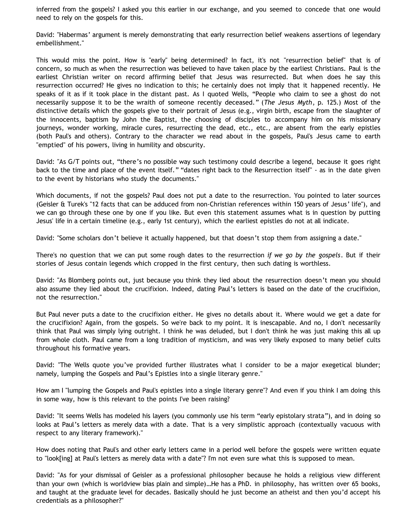inferred from the gospels? I asked you this earlier in our exchange, and you seemed to concede that one would need to rely on the gospels for this.

David: "Habermas' argument is merely demonstrating that early resurrection belief weakens assertions of legendary embellishment."

This would miss the point. How is "early" being determined? In fact, it's not "resurrection belief" that is of concern, so much as when the resurrection was believed to have taken place by the earliest Christians. Paul is the earliest Christian writer on record affirming belief that Jesus was resurrected. But when does he say this resurrection occurred? He gives no indication to this; he certainly does not imply that it happened recently. He speaks of it as if it took place in the distant past. As I quoted Wells, "People who claim to see a ghost do not necessarily suppose it to be the wraith of someone recently deceased." (*The Jesus Myth*, p. 125.) Most of the distinctive details which the gospels give to their portrait of Jesus (e.g., virgin birth, escape from the slaughter of the innocents, baptism by John the Baptist, the choosing of disciples to accompany him on his missionary journeys, wonder working, miracle cures, resurrecting the dead, etc., etc., are absent from the early epistles (both Paul's and others). Contrary to the character we read about in the gospels, Paul's Jesus came to earth "emptied" of his powers, living in humility and obscurity.

David: "As G/T points out, "there's no possible way such testimony could describe a legend, because it goes right back to the time and place of the event itself." "dates right back to the Resurrection itself" - as in the date given to the event by historians who study the documents."

Which documents, if not the gospels? Paul does not put a date to the resurrection. You pointed to later sources (Geisler & Turek's "12 facts that can be adduced from non-Christian references within 150 years of Jesus' life"), and we can go through these one by one if you like. But even this statement assumes what is in question by putting Jesus' life in a certain timeline (e.g., early 1st century), which the earliest epistles do not at all indicate.

David: "Some scholars don't believe it actually happened, but that doesn't stop them from assigning a date."

There's no question that we can put some rough dates to the resurrection *if we go by the gospels*. But if their stories of Jesus contain legends which cropped in the first century, then such dating is worthless.

David: "As Blomberg points out, just because you think they lied about the resurrection doesn't mean you should also assume they lied about the crucifixion. Indeed, dating Paul's letters is based on the date of the crucifixion, not the resurrection."

But Paul never puts a date to the crucifixion either. He gives no details about it. Where would we get a date for the crucifixion? Again, from the gospels. So we're back to my point. It is inescapable. And no, I don't necessarily think that Paul was simply lying outright. I think he was deluded, but I don't think he was just making this all up from whole cloth. Paul came from a long tradition of mysticism, and was very likely exposed to many belief cults throughout his formative years.

David: "The Wells quote you've provided further illustrates what I consider to be a major exegetical blunder; namely, lumping the Gospels and Paul's Epistles into a single literary genre."

How am I "lumping the Gospels and Paul's epistles into a single literary genre"? And even if you think I am doing this in some way, how is this relevant to the points I've been raising?

David: "It seems Wells has modeled his layers (you commonly use his term "early epistolary strata"), and in doing so looks at Paul's letters as merely data with a date. That is a very simplistic approach (contextually vacuous with respect to any literary framework)."

How does noting that Paul's and other early letters came in a period well before the gospels were written equate to "look[ing] at Paul's letters as merely data with a date"? I'm not even sure what this is supposed to mean.

David: "As for your dismissal of Geisler as a professional philosopher because he holds a religious view different than your own (which is worldview bias plain and simple)…He has a PhD. in philosophy, has written over 65 books, and taught at the graduate level for decades. Basically should he just become an atheist and then you'd accept his credentials as a philosopher?"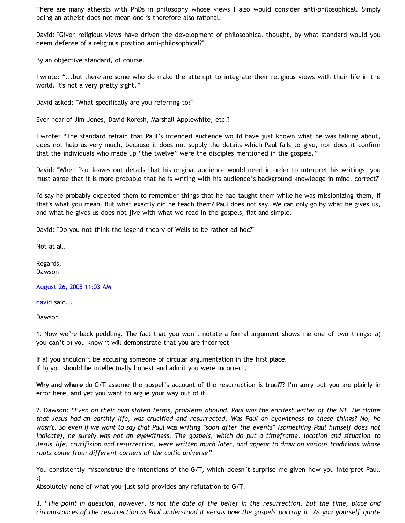There are many atheists with PhDs in philosophy whose views I also would consider anti-philosophical. Simply being an atheist does not mean one is therefore also rational.

David: "Given religious views have driven the development of philosophical thought, by what standard would you deem defense of a religious position anti-philosophical?"

By an objective standard, of course.

I wrote: "...but there are some who do make the attempt to integrate their religious views with their life in the world. It's not a very pretty sight."

David asked: "What specifically are you referring to?"

Ever hear of Jim Jones, David Koresh, Marshall Applewhite, etc.?

I wrote: "The standard refrain that Paul's intended audience would have just known what he was talking about, does not help us very much, because it does not supply the details which Paul fails to give, nor does it confirm that the individuals who made up "the twelve" were the disciples mentioned in the gospels."

David: "When Paul leaves out details that his original audience would need in order to interpret his writings, you must agree that it is more probable that he is writing with his audience's background knowledge in mind, correct?"

I'd say he probably expected them to remember things that he had taught them while he was missionizing them, if that's what you mean. But what exactly did he teach them? Paul does not say. We can only go by what he gives us, and what he gives us does not jive with what we read in the gospels, flat and simple.

David: "Do you not think the legend theory of Wells to be rather ad hoc?"

Not at all.

Regards, Dawson

[August 26, 2008 11:03 AM](http://bahnsenburner.blogspot.com/2008/08/5737931579642818368)

[david](http://www.blogger.com/profile/08071763988772047093) said...

Dawson,

1. Now we're back peddling. The fact that you won't notate a formal argument shows me one of two things: a) you can't b) you know it will demonstrate that you are incorrect

If a) you shouldn't be accusing someone of circular argumentation in the first place.

If b) you should be intellectually honest and admit you were incorrect.

**Why and where** do G/T assume the gospel's account of the resurrection is true??? I'm sorry but you are plainly in error here, and yet you want to argue your way out of it.

2. Dawson: *"Even on their own stated terms, problems abound. Paul was the earliest writer of the NT. He claims that Jesus had an earthly life, was crucified and resurrected. Was Paul an eyewitness to these things? No, he wasn't. So even if we want to say that Paul was writing "soon after the events" (something Paul himself does not indicate), he surely was not an eyewitness. The gospels, which do put a timeframe, location and situation to Jesus' life, crucifixion and resurrection, were written much later, and appear to draw on various traditions whose roots come from different corners of the cultic universe"*

You consistently misconstrue the intentions of the G/T, which doesn't surprise me given how you interpret Paul. :)

Absolutely none of what you just said provides any refutation to G/T.

3. *"The point in question, however, is not the date of the belief in the resurrection, but the time, place and circumstances of the resurrection as Paul understood it versus how the gospels portray it. As you yourself quote*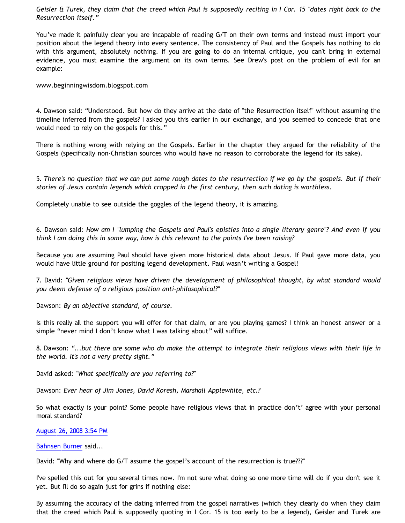*Geisler & Turek, they claim that the creed which Paul is supposedly reciting in I Cor. 15 "dates right back to the Resurrection itself."*

You've made it painfully clear you are incapable of reading G/T on their own terms and instead must import your position about the legend theory into every sentence. The consistency of Paul and the Gospels has nothing to do with this argument, absolutely nothing. If you are going to do an internal critique, you can't bring in external evidence, you must examine the argument on its own terms. See Drew's post on the problem of evil for an example:

www.beginningwisdom.blogspot.com

4. Dawson said: "Understood. But how do they arrive at the date of "the Resurrection itself" without assuming the timeline inferred from the gospels? I asked you this earlier in our exchange, and you seemed to concede that one would need to rely on the gospels for this."

There is nothing wrong with relying on the Gospels. Earlier in the chapter they argued for the reliability of the Gospels (specifically non-Christian sources who would have no reason to corroborate the legend for its sake).

5. *There's no question that we can put some rough dates to the resurrection if we go by the gospels. But if their stories of Jesus contain legends which cropped in the first century, then such dating is worthless.*

Completely unable to see outside the goggles of the legend theory, it is amazing.

6. Dawson said: *How am I "lumping the Gospels and Paul's epistles into a single literary genre"? And even if you think I am doing this in some way, how is this relevant to the points I've been raising?*

Because you are assuming Paul should have given more historical data about Jesus. If Paul gave more data, you would have little ground for positing legend development. Paul wasn't writing a Gospel!

7. David: *"Given religious views have driven the development of philosophical thought, by what standard would you deem defense of a religious position anti-philosophical?"*

Dawson: *By an objective standard, of course.*

Is this really all the support you will offer for that claim, or are you playing games? I think an honest answer or a simple "never mind I don't know what I was talking about" will suffice.

8. Dawson: *"...but there are some who do make the attempt to integrate their religious views with their life in the world. It's not a very pretty sight."*

David asked: *"What specifically are you referring to?"*

Dawson: *Ever hear of Jim Jones, David Koresh, Marshall Applewhite, etc.?*

So what exactly is your point? Some people have religious views that in practice don't' agree with your personal moral standard?

[August 26, 2008 3:54 PM](http://bahnsenburner.blogspot.com/2008/08/854605726004053646)

[Bahnsen Burner](http://www.blogger.com/profile/11030029491768748360) said...

David: "Why and where do G/T assume the gospel's account of the resurrection is true???"

I've spelled this out for you several times now. I'm not sure what doing so one more time will do if you don't see it yet. But I'll do so again just for grins if nothing else:

By assuming the accuracy of the dating inferred from the gospel narratives (which they clearly do when they claim that the creed which Paul is supposedly quoting in I Cor. 15 is too early to be a legend), Geisler and Turek are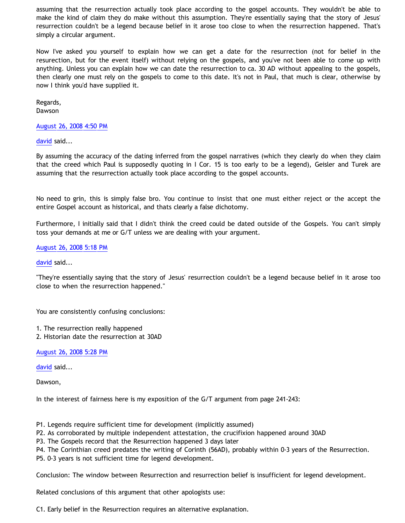assuming that the resurrection actually took place according to the gospel accounts. They wouldn't be able to make the kind of claim they do make without this assumption. They're essentially saying that the story of Jesus' resurrection couldn't be a legend because belief in it arose too close to when the resurrection happened. That's simply a circular argument.

Now I've asked you yourself to explain how we can get a date for the resurrection (not for belief in the resurection, but for the event itself) without relying on the gospels, and you've not been able to come up with anything. Unless you can explain how we can date the resurrection to ca. 30 AD without appealing to the gospels, then clearly one must rely on the gospels to come to this date. It's not in Paul, that much is clear, otherwise by now I think you'd have supplied it.

Regards, Dawson

[August 26, 2008 4:50 PM](http://bahnsenburner.blogspot.com/2008/08/3385471828982586331)

[david](http://www.blogger.com/profile/08071763988772047093) said...

By assuming the accuracy of the dating inferred from the gospel narratives (which they clearly do when they claim that the creed which Paul is supposedly quoting in I Cor. 15 is too early to be a legend), Geisler and Turek are assuming that the resurrection actually took place according to the gospel accounts.

No need to grin, this is simply false bro. You continue to insist that one must either reject or the accept the entire Gospel account as historical, and thats clearly a false dichotomy.

Furthermore, I initially said that I didn't think the creed could be dated outside of the Gospels. You can't simply toss your demands at me or G/T unless we are dealing with your argument.

# [August 26, 2008 5:18 PM](http://bahnsenburner.blogspot.com/2008/08/6190694830374176419)

[david](http://www.blogger.com/profile/08071763988772047093) said...

"They're essentially saying that the story of Jesus' resurrection couldn't be a legend because belief in it arose too close to when the resurrection happened."

You are consistently confusing conclusions:

1. The resurrection really happened

2. Historian date the resurrection at 30AD

[August 26, 2008 5:28 PM](http://bahnsenburner.blogspot.com/2008/08/783648161046684236)

[david](http://www.blogger.com/profile/08071763988772047093) said...

Dawson,

In the interest of fairness here is my exposition of the G/T argument from page 241-243:

- P1. Legends require sufficient time for development (implicitly assumed)
- P2. As corroborated by multiple independent attestation, the crucifixion happened around 30AD
- P3. The Gospels record that the Resurrection happened 3 days later
- P4. The Corinthian creed predates the writing of Corinth (56AD), probably within 0-3 years of the Resurrection.
- P5. 0-3 years is not sufficient time for legend development.

Conclusion: The window between Resurrection and resurrection belief is insufficient for legend development.

Related conclusions of this argument that other apologists use:

C1. Early belief in the Resurrection requires an alternative explanation.